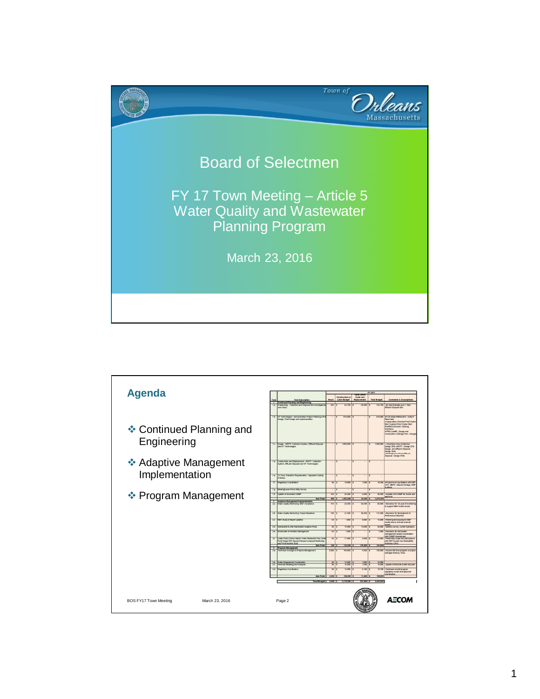

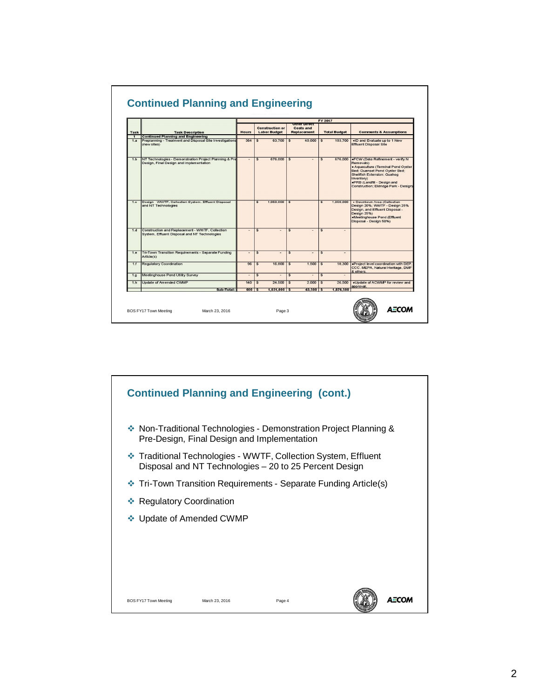|              |                                                                                                   |                  |                         |                                               |                         |                                                               | FY 2017                 |                     |                                                                                                                                                                                                                                             |
|--------------|---------------------------------------------------------------------------------------------------|------------------|-------------------------|-----------------------------------------------|-------------------------|---------------------------------------------------------------|-------------------------|---------------------|---------------------------------------------------------------------------------------------------------------------------------------------------------------------------------------------------------------------------------------------|
| Task         | <b>Task Description</b>                                                                           | Hours            |                         | <b>Construction or</b><br><b>Labor Budget</b> |                         | <b>Other Direct</b><br><b>Costs and</b><br><b>Replacement</b> |                         | <b>Total Budget</b> | <b>Comments &amp; Assumptions</b>                                                                                                                                                                                                           |
| $\mathbf{1}$ | <b>Continued Planning and Engineering</b>                                                         |                  |                         |                                               |                         |                                                               |                         |                     |                                                                                                                                                                                                                                             |
| 1.a          | Preplanning - Treatment and Disposal Site Investigations<br>(new sites)                           | 364              | s                       | 63,700                                        | \$                      | 40,000                                                        | \$                      | 103,700             | .ID and Evaluate up to 1 New<br><b>Effluent Disposal Site</b>                                                                                                                                                                               |
| 1.b          | NT Technologies - Demonstration Project Planning & Pre<br>Design, Final Design and Implementation | ٠                | s                       | 676,000                                       | $\overline{\mathbf{s}}$ | ۰                                                             | $\overline{\mathbb{S}}$ | 676,000             | .FCW (Data Refinement - verify N<br>Removals)<br>· Aquaculture (Terminal Pond Oyster)<br>Bed; Quanset Pond Oyster Bed;<br>Shellfish Extension; Quahog<br>Inventory)<br>.PRB (Landfill - Design and<br>Construction; Eldridge Park - Design) |
| 1.c          | Design - WWTF, Collection System, Effluent Disposal<br>and NT Technologies                        |                  | s                       | 1,050,000                                     | \$                      |                                                               | \$                      | 1,050,000           | · Downtown Area (Collection -<br>Design 20%; WWTF - Design 25%<br>Design, and Effluent Disposal -<br>Design 25%)<br>.Meetinghouse Pond (Effluent<br>Disposal - Design 50%)                                                                  |
| 1.d          | Construction and Replacement - WWTF, Collection<br>System, Effluent Disposal and NT Technologies  | $\overline{a}$   | $\overline{\mathsf{s}}$ |                                               | $\overline{\mathbf{s}}$ |                                                               | $\overline{\mathbb{S}}$ |                     |                                                                                                                                                                                                                                             |
| 1.e.         | Tri-Town Transition Requirements - Separate Funding<br>Article(s)                                 | ٠                | s                       | $\overline{\phantom{a}}$                      | \$                      | ٠                                                             | \$                      | ۰                   |                                                                                                                                                                                                                                             |
| 1.1          | <b>Requlatory Coordination</b>                                                                    | 96               | s                       | 16,800                                        | \$                      | 1,500                                                         | \$                      | 18,300              | .Project level coordination with DEP,<br>CCC. MEPA, Natural Heritage, DMF<br>& others.                                                                                                                                                      |
| 1.9          | Meetinghouse Pond Utility Survey                                                                  | ۰                | s                       | $\overline{a}$                                | $\overline{\mathbf{s}}$ | $\overline{a}$                                                | $\overline{\mathbb{S}}$ | $\sim$              |                                                                                                                                                                                                                                             |
| 1.h          | Update of Amended CWMP                                                                            | 140              | s                       | 24,500                                        | \$                      | 2,000                                                         | \$                      | 26,500              | .Update of ACWMP for review and<br>approval.                                                                                                                                                                                                |
|              | Sub-Total:                                                                                        | $600$ $\sqrt{5}$ |                         | $1,831,000$ \$                                |                         | 43,500                                                        | 3                       | 1,874,500           |                                                                                                                                                                                                                                             |

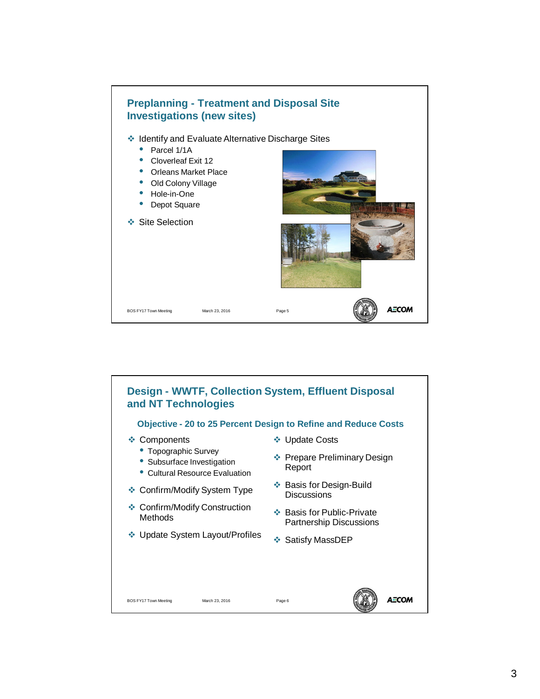

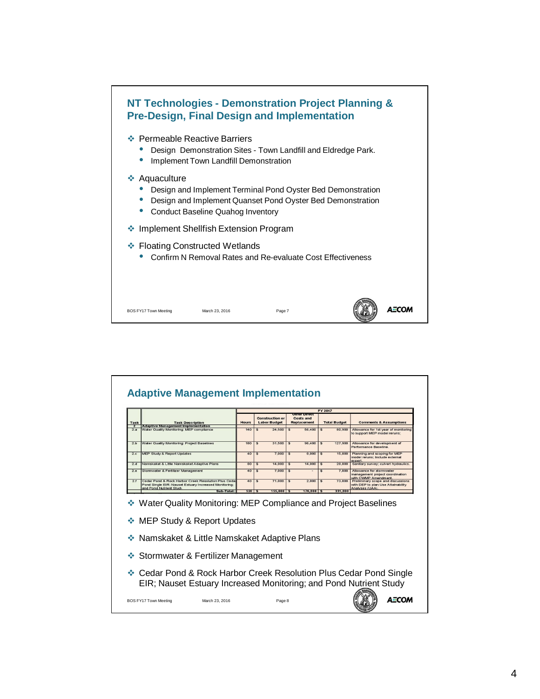

|                       |                                                                                                                                                       | FY 2017      |                                               |                                             |                                     |                                                                                            |  |  |  |
|-----------------------|-------------------------------------------------------------------------------------------------------------------------------------------------------|--------------|-----------------------------------------------|---------------------------------------------|-------------------------------------|--------------------------------------------------------------------------------------------|--|--|--|
| Task                  | <b>Task Description</b>                                                                                                                               | <b>Hours</b> | <b>Construction or</b><br><b>Labor Budget</b> | .<br><b>Costs and</b><br><b>Replacement</b> | <b>Total Budget</b>                 | <b>Comments &amp; Assumptions</b>                                                          |  |  |  |
| $\overline{2}$<br>2.a | <b>Adaptive Management Implementation</b><br>Water Quality Monitoring: MEP compliance                                                                 | 140          | 24,500<br>\$                                  | 56,400<br>\$                                | 80,900<br>\$                        | Allowance for 1st year of monitoring<br>to support MEP model reruns;                       |  |  |  |
| 2.b                   | Water Quality Monitoring: Project Baselines                                                                                                           | 180          | $\mathfrak{s}$<br>31.500                      | $\mathfrak{S}$<br>96,400                    | 127,900<br>$\mathfrak{s}$           | Allowance for development of<br>Performance Baseline.                                      |  |  |  |
| 2.c                   | <b>MEP Study &amp; Report Updates</b>                                                                                                                 | 40           | 7.000<br>S                                    | 8.000<br>$\overline{\mathbf{s}}$            | 15.000<br>$\overline{\mathfrak{s}}$ | Planning and scoping for MEP<br>model reruns; include external<br>expert                   |  |  |  |
| 2.d                   | Namskaket & Little Namskaket Adaptive Plans                                                                                                           | 80           | 14.000                                        | 14.000<br>$\overline{\mathbf{s}}$           | 28.000<br>$\overline{\mathbf{s}}$   | Sanitary survey; culvert hydraulics.                                                       |  |  |  |
| 2.e.                  | Stomwater & Fertilizer Management                                                                                                                     | 40           | 7.000<br>\$.                                  | \$                                          | 7,000<br>\$                         | Allowance for stormwater<br>management project coordination<br>with CWMP Amendment         |  |  |  |
| 2f                    | Cedar Pond & Rock Harbor Creek Resolution Plus Ceda<br>Pond Single EIR; Nauset Estuary Increased Monitoring;<br>and Pond Nutrient Study<br>Sub-Total: | 40           | 71,000<br>\$                                  | 2.000<br>\$                                 | 73,000<br>\$                        | Preliminary scope and discussions<br>with DEP to plan Use Attainability<br>Analyses (UAA). |  |  |  |
|                       | ❖ Water Quality Monitoring: MEP Compliance and Project Baselines                                                                                      |              | $520$ $\sqrt{5}$<br>$155,000$ \$              | $176,800$ \$                                | 331.800                             |                                                                                            |  |  |  |
|                       | <b>MEP Study &amp; Report Updates</b><br>❖ Namskaket & Little Namskaket Adaptive Plans                                                                |              |                                               |                                             |                                     |                                                                                            |  |  |  |
|                       | ❖ Stormwater & Fertilizer Management                                                                                                                  |              |                                               |                                             |                                     |                                                                                            |  |  |  |
| 樂                     | ❖ Cedar Pond & Rock Harbor Creek Resolution Plus Cedar Pond Single<br>EIR; Nauset Estuary Increased Monitoring; and Pond Nutrient Study               |              |                                               |                                             |                                     |                                                                                            |  |  |  |

H